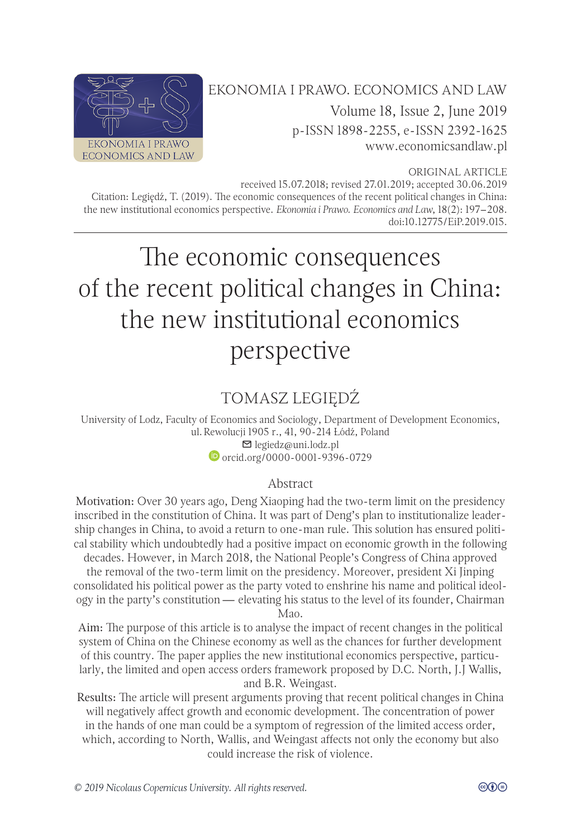

# EKONOMIA I PRAWO. ECONOMICS AND LAW Volume 18, Issue 2, June 2019 p-ISSN 1898-2255, e-ISSN 2392-1625 [www.economicsandlaw.pl](http://www.economicsandlaw.pl)

ORIGINAL ARTICLE

received 15.07.2018; revised 27.01.2019; accepted 30.06.2019 Citation: Legiędź, T. (2019). The economic consequences of the recent political changes in China: the new institutional economics perspective. *Ekonomia i Prawo. Economics and Law*, 18(2): 197–208. doi[:10.12775/EiP.2019.015.](http://doi.org/10.12775/EiP.2019.015)

# The economic consequences of the recent political changes in China: the new institutional economics perspective

# TOMASZ LEGIĘDŹ

University of Lodz, Faculty of Economics and Sociology, Department of Development Economics, ul. Rewolucji 1905 r., 41, 90-214 Łódź, Poland legiedz@uni.lodz.pl [orcid.org/0000-0001-9396-0729](http://orcid.org/0000-0001-9396-0729)

#### Abstract

Motivation: Over 30 years ago, Deng Xiaoping had the two-term limit on the presidency inscribed in the constitution of China. It was part of Deng's plan to institutionalize leadership changes in China, to avoid a return to one-man rule. This solution has ensured political stability which undoubtedly had a positive impact on economic growth in the following decades. However, in March 2018, the National People's Congress of China approved

the removal of the two-term limit on the presidency. Moreover, president Xi Jinping consolidated his political power as the party voted to enshrine his name and political ideology in the party's constitution — elevating his status to the level of its founder, Chairman Mao.

Aim: The purpose of this article is to analyse the impact of recent changes in the political system of China on the Chinese economy as well as the chances for further development of this country. The paper applies the new institutional economics perspective, particularly, the limited and open access orders framework proposed by D.C. North, J.J Wallis, and B.R. Weingast.

Results: The article will present arguments proving that recent political changes in China will negatively affect growth and economic development. The concentration of power in the hands of one man could be a symptom of regression of the limited access order, which, according to North, Wallis, and Weingast affects not only the economy but also could increase the risk of violence.

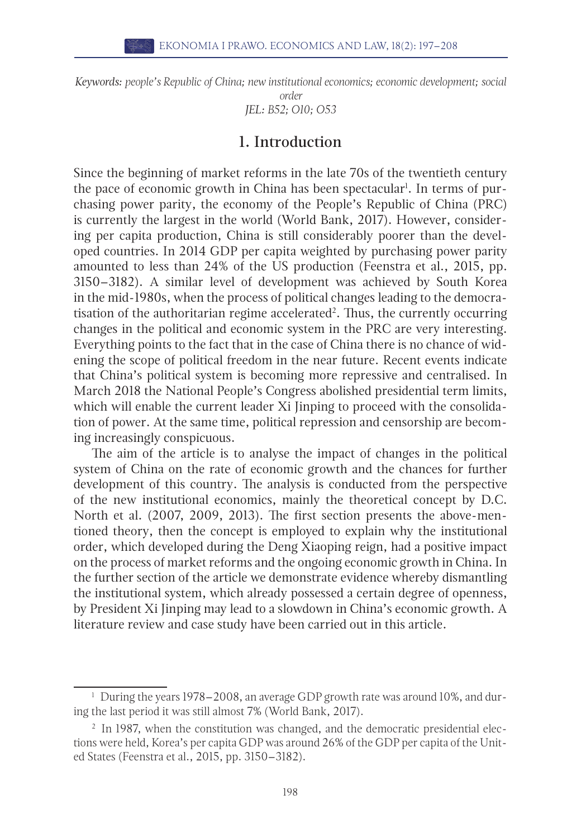*Keywords: people's Republic of China; new institutional economics; economic development; social* 

*order JEL: B52; O10; O53*

#### 1. Introduction

Since the beginning of market reforms in the late 70s of the twentieth century the pace of economic growth in China has been spectacular<sup>1</sup>. In terms of purchasing power parity, the economy of the People's Republic of China (PRC) is currently the largest in the world (World Bank, 2017). However, considering per capita production, China is still considerably poorer than the developed countries. In 2014 GDP per capita weighted by purchasing power parity amounted to less than 24% of the US production (Feenstra et al., 2015, pp. 3150–3182). A similar level of development was achieved by South Korea in the mid-1980s, when the process of political changes leading to the democratisation of the authoritarian regime accelerated<sup>2</sup>. Thus, the currently occurring changes in the political and economic system in the PRC are very interesting. Everything points to the fact that in the case of China there is no chance of widening the scope of political freedom in the near future. Recent events indicate that China's political system is becoming more repressive and centralised. In March 2018 the National People's Congress abolished presidential term limits, which will enable the current leader Xi Jinping to proceed with the consolidation of power. At the same time, political repression and censorship are becoming increasingly conspicuous.

The aim of the article is to analyse the impact of changes in the political system of China on the rate of economic growth and the chances for further development of this country. The analysis is conducted from the perspective of the new institutional economics, mainly the theoretical concept by D.C. North et al. (2007, 2009, 2013). The first section presents the above-mentioned theory, then the concept is employed to explain why the institutional order, which developed during the Deng Xiaoping reign, had a positive impact on the process of market reforms and the ongoing economic growth in China. In the further section of the article we demonstrate evidence whereby dismantling the institutional system, which already possessed a certain degree of openness, by President Xi Jinping may lead to a slowdown in China's economic growth. A literature review and case study have been carried out in this article.

<sup>&</sup>lt;sup>1</sup> During the years 1978–2008, an average GDP growth rate was around 10%, and during the last period it was still almost 7% (World Bank, 2017).

<sup>&</sup>lt;sup>2</sup> In 1987, when the constitution was changed, and the democratic presidential elections were held, Korea's per capita GDP was around 26% of the GDP per capita of the United States (Feenstra et al., 2015, pp. 3150–3182).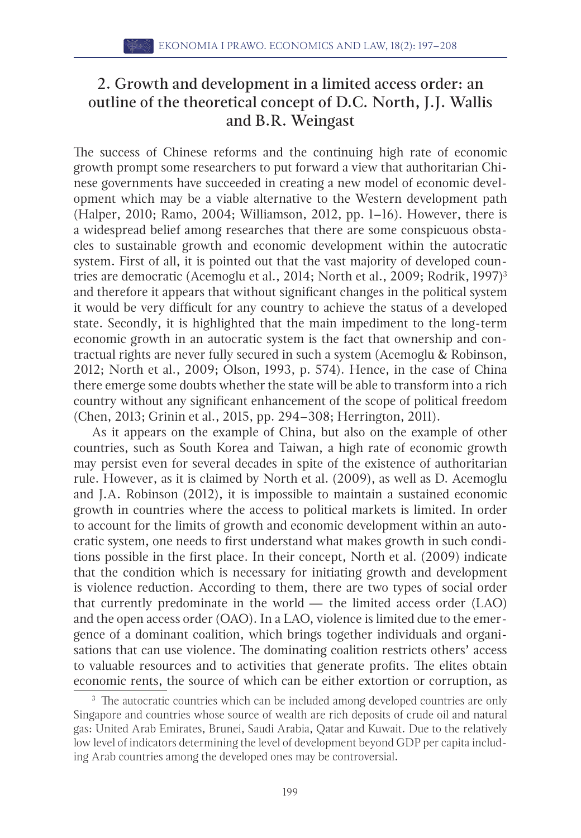### 2. Growth and development in a limited access order: an outline of the theoretical concept of D.C. North, J.J. Wallis and B.R. Weingast

The success of Chinese reforms and the continuing high rate of economic growth prompt some researchers to put forward a view that authoritarian Chinese governments have succeeded in creating a new model of economic development which may be a viable alternative to the Western development path (Halper, 2010; Ramo, 2004; Williamson, 2012, pp. 1–16). However, there is a widespread belief among researches that there are some conspicuous obstacles to sustainable growth and economic development within the autocratic system. First of all, it is pointed out that the vast majority of developed countries are democratic (Acemoglu et al., 2014; North et al., 2009; Rodrik, 1997)<sup>3</sup> and therefore it appears that without significant changes in the political system it would be very difficult for any country to achieve the status of a developed state. Secondly, it is highlighted that the main impediment to the long-term economic growth in an autocratic system is the fact that ownership and contractual rights are never fully secured in such a system (Acemoglu & Robinson, 2012; North et al., 2009; Olson, 1993, p. 574). Hence, in the case of China there emerge some doubts whether the state will be able to transform into a rich country without any significant enhancement of the scope of political freedom (Chen, 2013; Grinin et al., 2015, pp. 294–308; Herrington, 2011).

As it appears on the example of China, but also on the example of other countries, such as South Korea and Taiwan, a high rate of economic growth may persist even for several decades in spite of the existence of authoritarian rule. However, as it is claimed by North et al. (2009), as well as D. Acemoglu and J.A. Robinson (2012), it is impossible to maintain a sustained economic growth in countries where the access to political markets is limited. In order to account for the limits of growth and economic development within an autocratic system, one needs to first understand what makes growth in such conditions possible in the first place. In their concept, North et al. (2009) indicate that the condition which is necessary for initiating growth and development is violence reduction. According to them, there are two types of social order that currently predominate in the world  $-$  the limited access order (LAO) and the open access order (OAO). In a LAO, violence is limited due to the emergence of a dominant coalition, which brings together individuals and organisations that can use violence. The dominating coalition restricts others' access to valuable resources and to activities that generate profits. The elites obtain economic rents, the source of which can be either extortion or corruption, as

<sup>&</sup>lt;sup>3</sup> The autocratic countries which can be included among developed countries are only Singapore and countries whose source of wealth are rich deposits of crude oil and natural gas: United Arab Emirates, Brunei, Saudi Arabia, Qatar and Kuwait. Due to the relatively low level of indicators determining the level of development beyond GDP per capita including Arab countries among the developed ones may be controversial.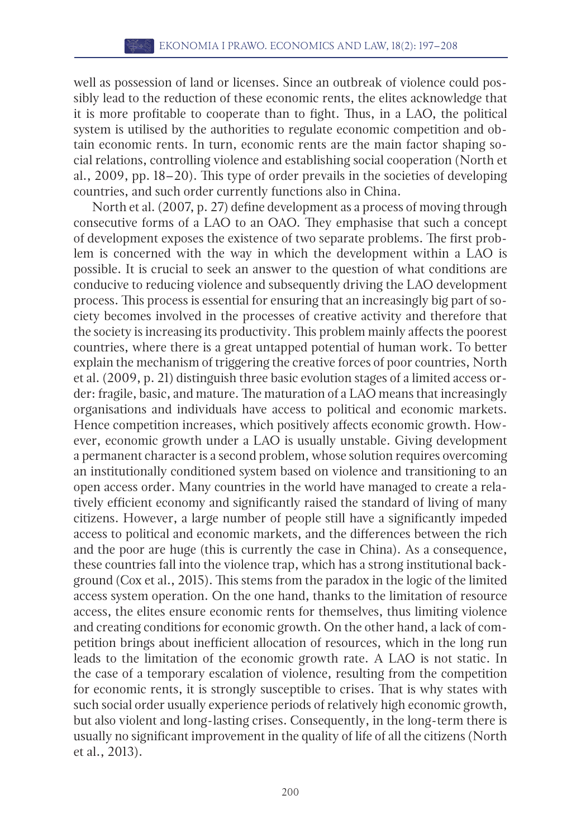well as possession of land or licenses. Since an outbreak of violence could possibly lead to the reduction of these economic rents, the elites acknowledge that it is more profitable to cooperate than to fight. Thus, in a LAO, the political system is utilised by the authorities to regulate economic competition and obtain economic rents. In turn, economic rents are the main factor shaping social relations, controlling violence and establishing social cooperation (North et al., 2009, pp. 18–20). This type of order prevails in the societies of developing countries, and such order currently functions also in China.

North et al. (2007, p. 27) define development as a process of moving through consecutive forms of a LAO to an OAO. They emphasise that such a concept of development exposes the existence of two separate problems. The first problem is concerned with the way in which the development within a LAO is possible. It is crucial to seek an answer to the question of what conditions are conducive to reducing violence and subsequently driving the LAO development process. This process is essential for ensuring that an increasingly big part of society becomes involved in the processes of creative activity and therefore that the society is increasing its productivity. This problem mainly affects the poorest countries, where there is a great untapped potential of human work. To better explain the mechanism of triggering the creative forces of poor countries, North et al. (2009, p. 21) distinguish three basic evolution stages of a limited access order: fragile, basic, and mature. The maturation of a LAO means that increasingly organisations and individuals have access to political and economic markets. Hence competition increases, which positively affects economic growth. However, economic growth under a LAO is usually unstable. Giving development a permanent character is a second problem, whose solution requires overcoming an institutionally conditioned system based on violence and transitioning to an open access order. Many countries in the world have managed to create a relatively efficient economy and significantly raised the standard of living of many citizens. However, a large number of people still have a significantly impeded access to political and economic markets, and the differences between the rich and the poor are huge (this is currently the case in China). As a consequence, these countries fall into the violence trap, which has a strong institutional background (Cox et al., 2015). This stems from the paradox in the logic of the limited access system operation. On the one hand, thanks to the limitation of resource access, the elites ensure economic rents for themselves, thus limiting violence and creating conditions for economic growth. On the other hand, a lack of competition brings about inefficient allocation of resources, which in the long run leads to the limitation of the economic growth rate. A LAO is not static. In the case of a temporary escalation of violence, resulting from the competition for economic rents, it is strongly susceptible to crises. That is why states with such social order usually experience periods of relatively high economic growth, but also violent and long-lasting crises. Consequently, in the long-term there is usually no significant improvement in the quality of life of all the citizens (North et al., 2013).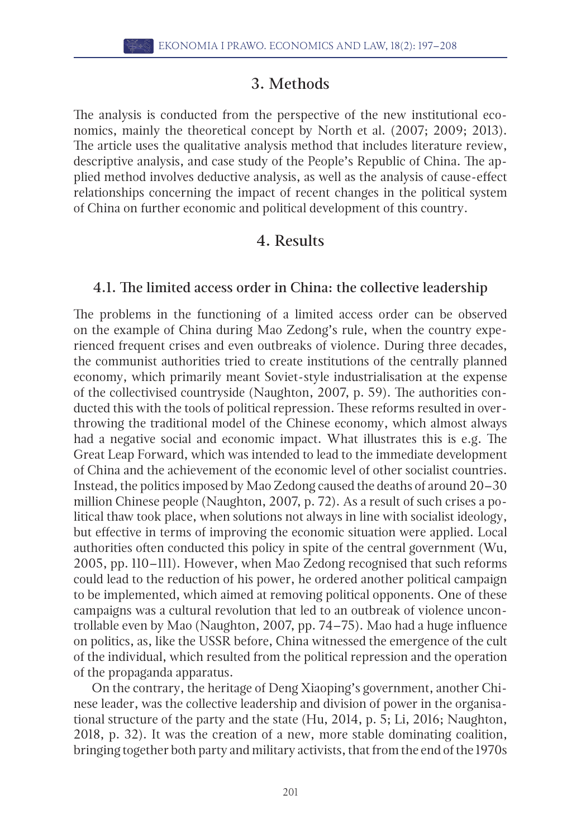#### 3. Methods

The analysis is conducted from the perspective of the new institutional economics, mainly the theoretical concept by North et al. (2007; 2009; 2013). The article uses the qualitative analysis method that includes literature review, descriptive analysis, and case study of the People's Republic of China. The applied method involves deductive analysis, as well as the analysis of cause-effect relationships concerning the impact of recent changes in the political system of China on further economic and political development of this country.

#### 4. Results

#### 4.1. The limited access order in China: the collective leadership

The problems in the functioning of a limited access order can be observed on the example of China during Mao Zedong's rule, when the country experienced frequent crises and even outbreaks of violence. During three decades, the communist authorities tried to create institutions of the centrally planned economy, which primarily meant Soviet-style industrialisation at the expense of the collectivised countryside (Naughton, 2007, p. 59). The authorities conducted this with the tools of political repression. These reforms resulted in overthrowing the traditional model of the Chinese economy, which almost always had a negative social and economic impact. What illustrates this is e.g. The Great Leap Forward, which was intended to lead to the immediate development of China and the achievement of the economic level of other socialist countries. Instead, the politics imposed by Mao Zedong caused the deaths of around 20–30 million Chinese people (Naughton, 2007, p. 72). As a result of such crises a political thaw took place, when solutions not always in line with socialist ideology, but effective in terms of improving the economic situation were applied. Local authorities often conducted this policy in spite of the central government (Wu, 2005, pp. 110–111). However, when Mao Zedong recognised that such reforms could lead to the reduction of his power, he ordered another political campaign to be implemented, which aimed at removing political opponents. One of these campaigns was a cultural revolution that led to an outbreak of violence uncontrollable even by Mao (Naughton, 2007, pp. 74–75). Mao had a huge influence on politics, as, like the USSR before, China witnessed the emergence of the cult of the individual, which resulted from the political repression and the operation of the propaganda apparatus.

On the contrary, the heritage of Deng Xiaoping's government, another Chinese leader, was the collective leadership and division of power in the organisational structure of the party and the state (Hu, 2014, p. 5; Li, 2016; Naughton, 2018, p. 32). It was the creation of a new, more stable dominating coalition, bringing together both party and military activists, that from the end of the 1970s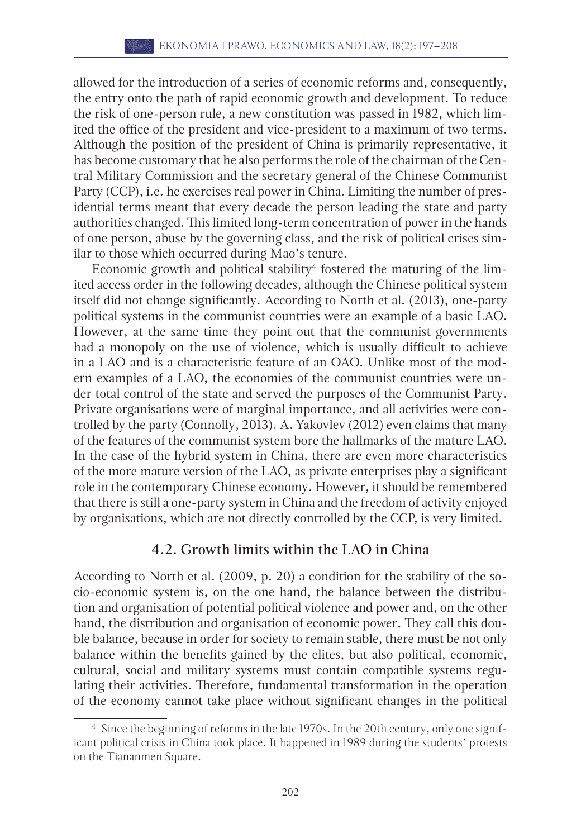allowed for the introduction of a series of economic reforms and, consequently, the entry onto the path of rapid economic growth and development. To reduce the risk of one-person rule, a new constitution was passed in 1982, which limited the office of the president and vice-president to a maximum of two terms. Although the position of the president of China is primarily representative, it has become customary that he also performs the role of the chairman of the Central Military Commission and the secretary general of the Chinese Communist Party (CCP), i.e. he exercises real power in China. Limiting the number of presidential terms meant that every decade the person leading the state and party authorities changed. This limited long-term concentration of power in the hands of one person, abuse by the governing class, and the risk of political crises similar to those which occurred during Mao's tenure.

Economic growth and political stability $\rm ^4$  fostered the maturing of the limited access order in the following decades, although the Chinese political system itself did not change significantly. According to North et al. (2013), one-party political systems in the communist countries were an example of a basic LAO. However, at the same time they point out that the communist governments had a monopoly on the use of violence, which is usually difficult to achieve in a LAO and is a characteristic feature of an OAO. Unlike most of the modern examples of a LAO, the economies of the communist countries were under total control of the state and served the purposes of the Communist Party. Private organisations were of marginal importance, and all activities were controlled by the party (Connolly, 2013). A. Yakovlev (2012) even claims that many of the features of the communist system bore the hallmarks of the mature LAO. In the case of the hybrid system in China, there are even more characteristics of the more mature version of the LAO, as private enterprises play a significant role in the contemporary Chinese economy. However, it should be remembered that there is still a one-party system in China and the freedom of activity enjoyed by organisations, which are not directly controlled by the CCP, is very limited.

#### 4.2. Growth limits within the LAO in China

According to North et al. (2009, p. 20) a condition for the stability of the socio-economic system is, on the one hand, the balance between the distribution and organisation of potential political violence and power and, on the other hand, the distribution and organisation of economic power. They call this double balance, because in order for society to remain stable, there must be not only balance within the benefits gained by the elites, but also political, economic, cultural, social and military systems must contain compatible systems regulating their activities. Therefore, fundamental transformation in the operation of the economy cannot take place without significant changes in the political

<sup>4</sup> Since the beginning of reforms in the late 1970s. In the 20th century, only one significant political crisis in China took place. It happened in 1989 during the students' protests on the Tiananmen Square.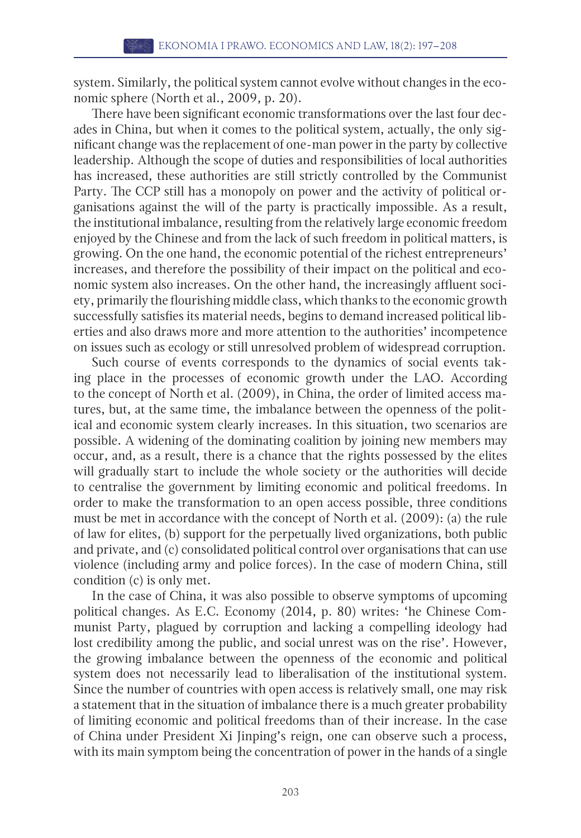system. Similarly, the political system cannot evolve without changes in the economic sphere (North et al., 2009, p. 20).

There have been significant economic transformations over the last four decades in China, but when it comes to the political system, actually, the only significant change was the replacement of one-man power in the party by collective leadership. Although the scope of duties and responsibilities of local authorities has increased, these authorities are still strictly controlled by the Communist Party. The CCP still has a monopoly on power and the activity of political organisations against the will of the party is practically impossible. As a result, the institutional imbalance, resulting from the relatively large economic freedom enjoyed by the Chinese and from the lack of such freedom in political matters, is growing. On the one hand, the economic potential of the richest entrepreneurs' increases, and therefore the possibility of their impact on the political and economic system also increases. On the other hand, the increasingly affluent society, primarily the flourishing middle class, which thanks to the economic growth successfully satisfies its material needs, begins to demand increased political liberties and also draws more and more attention to the authorities' incompetence on issues such as ecology or still unresolved problem of widespread corruption.

Such course of events corresponds to the dynamics of social events taking place in the processes of economic growth under the LAO. According to the concept of North et al. (2009), in China, the order of limited access matures, but, at the same time, the imbalance between the openness of the political and economic system clearly increases. In this situation, two scenarios are possible. A widening of the dominating coalition by joining new members may occur, and, as a result, there is a chance that the rights possessed by the elites will gradually start to include the whole society or the authorities will decide to centralise the government by limiting economic and political freedoms. In order to make the transformation to an open access possible, three conditions must be met in accordance with the concept of North et al. (2009): (a) the rule of law for elites, (b) support for the perpetually lived organizations, both public and private, and (c) consolidated political control over organisations that can use violence (including army and police forces). In the case of modern China, still condition (c) is only met.

In the case of China, it was also possible to observe symptoms of upcoming political changes. As E.C. Economy (2014, p. 80) writes: 'he Chinese Communist Party, plagued by corruption and lacking a compelling ideology had lost credibility among the public, and social unrest was on the rise'. However, the growing imbalance between the openness of the economic and political system does not necessarily lead to liberalisation of the institutional system. Since the number of countries with open access is relatively small, one may risk a statement that in the situation of imbalance there is a much greater probability of limiting economic and political freedoms than of their increase. In the case of China under President Xi Jinping's reign, one can observe such a process, with its main symptom being the concentration of power in the hands of a single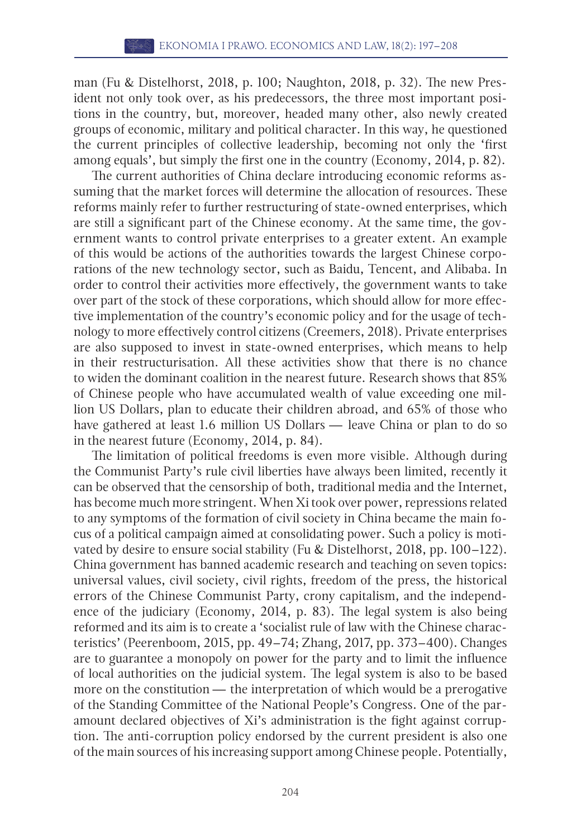man (Fu & Distelhorst, 2018, p. 100; Naughton, 2018, p. 32). The new President not only took over, as his predecessors, the three most important positions in the country, but, moreover, headed many other, also newly created groups of economic, military and political character. In this way, he questioned the current principles of collective leadership, becoming not only the 'first among equals', but simply the first one in the country (Economy, 2014, p. 82).

The current authorities of China declare introducing economic reforms assuming that the market forces will determine the allocation of resources. These reforms mainly refer to further restructuring of state-owned enterprises, which are still a significant part of the Chinese economy. At the same time, the government wants to control private enterprises to a greater extent. An example of this would be actions of the authorities towards the largest Chinese corporations of the new technology sector, such as Baidu, Tencent, and Alibaba. In order to control their activities more effectively, the government wants to take over part of the stock of these corporations, which should allow for more effective implementation of the country's economic policy and for the usage of technology to more effectively control citizens (Creemers, 2018). Private enterprises are also supposed to invest in state-owned enterprises, which means to help in their restructurisation. All these activities show that there is no chance to widen the dominant coalition in the nearest future. Research shows that 85% of Chinese people who have accumulated wealth of value exceeding one million US Dollars, plan to educate their children abroad, and 65% of those who have gathered at least 1.6 million US Dollars — leave China or plan to do so in the nearest future (Economy, 2014, p. 84).

The limitation of political freedoms is even more visible. Although during the Communist Party's rule civil liberties have always been limited, recently it can be observed that the censorship of both, traditional media and the Internet, has become much more stringent. When Xi took over power, repressions related to any symptoms of the formation of civil society in China became the main focus of a political campaign aimed at consolidating power. Such a policy is motivated by desire to ensure social stability (Fu & Distelhorst, 2018, pp. 100-122). China government has banned academic research and teaching on seven topics: universal values, civil society, civil rights, freedom of the press, the historical errors of the Chinese Communist Party, crony capitalism, and the independence of the judiciary (Economy, 2014, p. 83). The legal system is also being reformed and its aim is to create a 'socialist rule of law with the Chinese characteristics' (Peerenboom, 2015, pp. 49–74; Zhang, 2017, pp. 373–400). Changes are to guarantee a monopoly on power for the party and to limit the influence of local authorities on the judicial system. The legal system is also to be based more on the constitution — the interpretation of which would be a prerogative of the Standing Committee of the National People's Congress. One of the paramount declared objectives of Xi's administration is the fight against corruption. The anti-corruption policy endorsed by the current president is also one of the main sources of his increasing support among Chinese people. Potentially,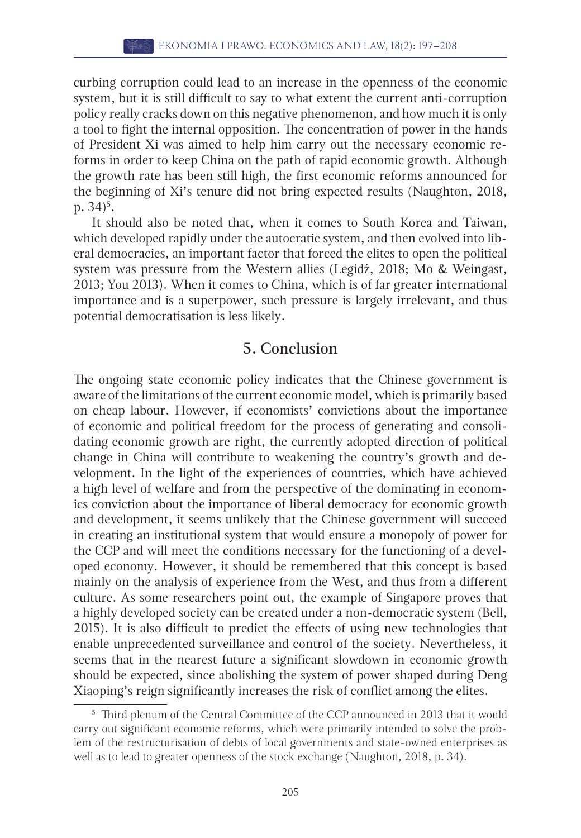curbing corruption could lead to an increase in the openness of the economic system, but it is still difficult to say to what extent the current anti-corruption policy really cracks down on this negative phenomenon, and how much it is only a tool to fight the internal opposition. The concentration of power in the hands of President Xi was aimed to help him carry out the necessary economic reforms in order to keep China on the path of rapid economic growth. Although the growth rate has been still high, the first economic reforms announced for the beginning of Xi's tenure did not bring expected results (Naughton, 2018, p. 34) $^{5}$ .

It should also be noted that, when it comes to South Korea and Taiwan, which developed rapidly under the autocratic system, and then evolved into liberal democracies, an important factor that forced the elites to open the political system was pressure from the Western allies (Legidź, 2018; Mo & Weingast, 2013; You 2013). When it comes to China, which is of far greater international importance and is a superpower, such pressure is largely irrelevant, and thus potential democratisation is less likely.

#### 5. Conclusion

The ongoing state economic policy indicates that the Chinese government is aware of the limitations of the current economic model, which is primarily based on cheap labour. However, if economists' convictions about the importance of economic and political freedom for the process of generating and consolidating economic growth are right, the currently adopted direction of political change in China will contribute to weakening the country's growth and development. In the light of the experiences of countries, which have achieved a high level of welfare and from the perspective of the dominating in economics conviction about the importance of liberal democracy for economic growth and development, it seems unlikely that the Chinese government will succeed in creating an institutional system that would ensure a monopoly of power for the CCP and will meet the conditions necessary for the functioning of a developed economy. However, it should be remembered that this concept is based mainly on the analysis of experience from the West, and thus from a different culture. As some researchers point out, the example of Singapore proves that a highly developed society can be created under a non-democratic system (Bell, 2015). It is also difficult to predict the effects of using new technologies that enable unprecedented surveillance and control of the society. Nevertheless, it seems that in the nearest future a significant slowdown in economic growth should be expected, since abolishing the system of power shaped during Deng Xiaoping's reign significantly increases the risk of conflict among the elites.

<sup>5</sup> Third plenum of the Central Committee of the CCP announced in 2013 that it would carry out significant economic reforms, which were primarily intended to solve the problem of the restructurisation of debts of local governments and state-owned enterprises as well as to lead to greater openness of the stock exchange (Naughton, 2018, p. 34).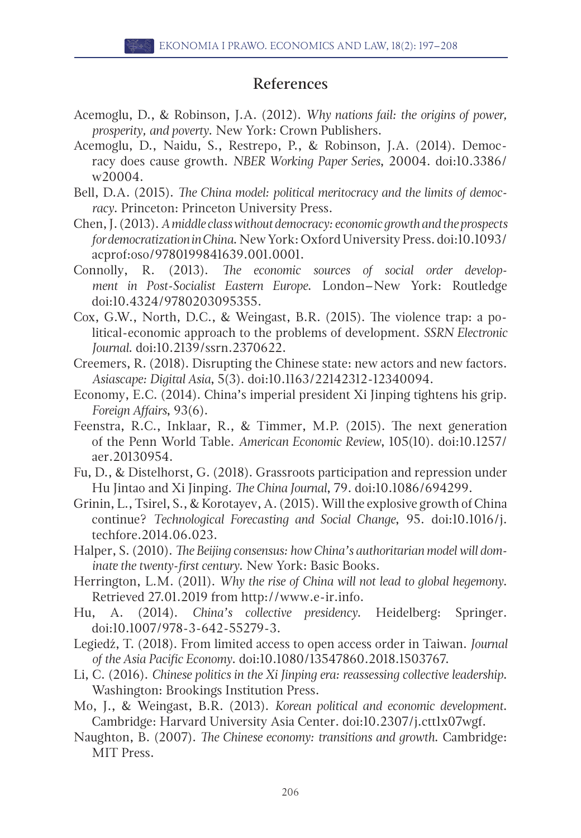#### References

- Acemoglu, D., & Robinson, J.A. (2012). *Why nations fail: the origins of power, prosperity, and poverty*. New York: Crown Publishers.
- Acemoglu, D., Naidu, S., Restrepo, P., & Robinson, J.A. (2014). Democracy does cause growth. *NBER Working Paper Series*, 20004. doi[:10.3386/](http://doi.org/10.3386/w20004) [w20004.](http://doi.org/10.3386/w20004)
- Bell, D.A. (2015). *The China model: political meritocracy and the limits of democracy*. Princeton: Princeton University Press.
- Chen, J. (2013). *A middle class without democracy: economic growth and the prospects for democratization in China*. New York: Oxford University Press. doi[:10.1093/](http://doi.org/10.1093/acprof:oso/9780199841639.001.0001) [acprof:oso/9780199841639.001.0001.](http://doi.org/10.1093/acprof:oso/9780199841639.001.0001)
- Connolly, R. (2013). *The economic sources of social order development in Post-Socialist Eastern Europe*. London–New York: Routledge doi[:10.4324/9780203095355.](http://doi.org/10.4324/9780203095355)
- Cox, G.W., North, D.C., & Weingast, B.R. (2015). The violence trap: a political-economic approach to the problems of development. *SSRN Electronic Journal*. doi:[10.2139/ssrn.2370622.](http://doi.org/10.2139/ssrn.2370622)
- Creemers, R. (2018). Disrupting the Chinese state: new actors and new factors. *Asiascape: Digital Asia*, 5(3). doi[:10.1163/22142312-12340094](http://doi.org/10.1163/22142312-12340094).
- Economy, E.C. (2014). China's imperial president Xi Jinping tightens his grip. *Foreign Affairs*, 93(6).
- Feenstra, R.C., Inklaar, R., & Timmer, M.P. (2015). The next generation of the Penn World Table. *American Economic Review*, 105(10). doi[:10.1257/](http://doi.org/10.1257/aer.20130954) [aer.20130954](http://doi.org/10.1257/aer.20130954).
- Fu, D., & Distelhorst, G. (2018). Grassroots participation and repression under Hu Jintao and Xi Jinping. *The China Journal*, 79. doi:[10.1086/694299](http://doi.org/10.1086/694299).
- Grinin, L., Tsirel, S., & Korotayev, A. (2015). Will the explosive growth of China continue? *Technological Forecasting and Social Change*, 95. doi[:10.1016/j.](http://doi.org/10.1016/j.techfore.2014.06.023) [techfore.2014.06.023.](http://doi.org/10.1016/j.techfore.2014.06.023)
- Halper, S. (2010). *The Beijing consensus: how China's authoritarian model will dominate the twenty-first century*. New York: Basic Books.
- Herrington, L.M. (2011). *Why the rise of China will not lead to global hegemony*. Retrieved 27.01.2019 from [http://www.e-ir.info.](http://www.e-ir.info)
- Hu, A. (2014). *China's collective presidency*. Heidelberg: Springer. doi[:10.1007/978-3-642-55279-3](http://doi.org/10.1007/978-3-642-55279-3).
- Legiedź, T. (2018). From limited access to open access order in Taiwan. *Journal of the Asia Pacific Economy*. doi:[10.1080/13547860.2018.1503767](http://doi.org/10.1080/13547860.2018.1503767).
- Li, C. (2016). *Chinese politics in the Xi Jinping era: reassessing collective leadership*. Washington: Brookings Institution Press.
- Mo, J., & Weingast, B.R. (2013). *Korean political and economic development*. Cambridge: Harvard University Asia Center. doi[:10.2307/j.ctt1x07wgf.](http://doi.org/10.2307/j.ctt1x07wgf)
- Naughton, B. (2007). *The Chinese economy: transitions and growth*. Cambridge: MIT Press.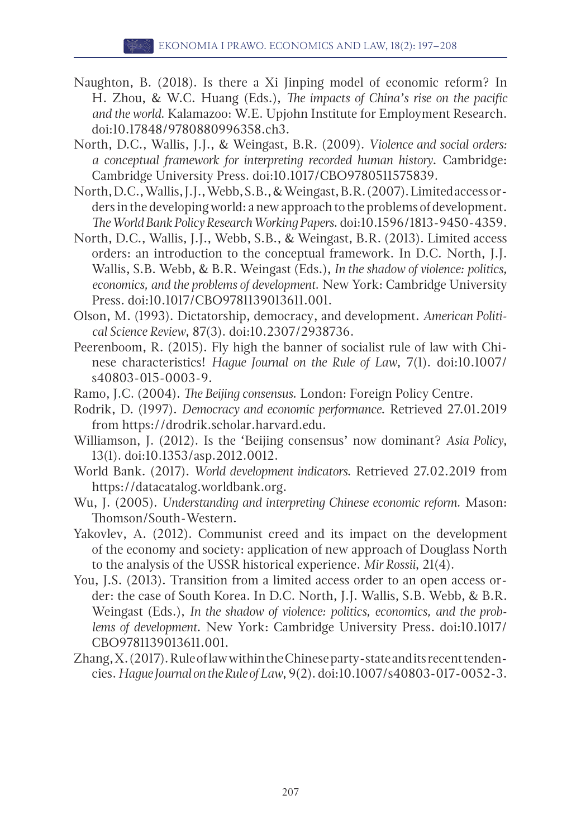- Naughton, B. (2018). Is there a Xi Jinping model of economic reform? In H. Zhou, & W.C. Huang (Eds.), *The impacts of China's rise on the pacific and the world*. Kalamazoo: W.E. Upjohn Institute for Employment Research. doi[:10.17848/9780880996358.ch3](http://doi.org/10.17848/9780880996358.ch3).
- North, D.C., Wallis, J.J., & Weingast, B.R. (2009). *Violence and social orders: a conceptual framework for interpreting recorded human history*. Cambridge: Cambridge University Press. doi[:10.1017/CBO9780511575839.](http://doi.org/10.1017/CBO9780511575839)
- North, D.C., Wallis, J.J., Webb, S.B., & Weingast, B.R. (2007). Limited access orders in the developing world: a new approach to the problems of development. *The World Bank Policy Research Working Papers*. doi[:10.1596/1813-9450-4359](http://doi.org/10.1596/1813-9450-4359).
- North, D.C., Wallis, J.J., Webb, S.B., & Weingast, B.R. (2013). Limited access orders: an introduction to the conceptual framework. In D.C. North, J.J. Wallis, S.B. Webb, & B.R. Weingast (Eds.), *In the shadow of violence: politics, economics, and the problems of development*. New York: Cambridge University Press. doi:[10.1017/CBO9781139013611.001](http://doi.org/10.1017/CBO9781139013611.001).
- Olson, M. (1993). Dictatorship, democracy, and development. *American Political Science Review*, 87(3). doi:[10.2307/2938736.](http://doi.org/10.2307/2938736)
- Peerenboom, R. (2015). Fly high the banner of socialist rule of law with Chinese characteristics! *Hague Journal on the Rule of Law*, 7(1). doi[:10.1007/](http://doi.org/10.1007/s40803-015-0003-9) [s40803-015-0003-9.](http://doi.org/10.1007/s40803-015-0003-9)
- Ramo, J.C. (2004). *The Beijing consensus*. London: Foreign Policy Centre.
- Rodrik, D. (1997). *Democracy and economic performance*. Retrieved 27.01.2019 from [https://drodrik.scholar.harvard.edu.](https://drodrik.scholar.harvard.edu)
- Williamson, J. (2012). Is the 'Beijing consensus' now dominant? *Asia Policy*, 13(1). doi[:10.1353/asp.2012.0012.](http://doi.org/10.1353/asp.2012.0012)
- World Bank. (2017). *World development indicators*. Retrieved 27.02.2019 from <https://datacatalog.worldbank.org>.
- Wu, J. (2005). *Understanding and interpreting Chinese economic reform*. Mason: Thomson/South-Western.
- Yakovlev, A. (2012). Communist creed and its impact on the development of the economy and society: application of new approach of Douglass North to the analysis of the USSR historical experience. *Mir Rossii*, 21(4).
- You, J.S. (2013). Transition from a limited access order to an open access order: the case of South Korea. In D.C. North, J.J. Wallis, S.B. Webb, & B.R. Weingast (Eds.), *In the shadow of violence: politics, economics, and the problems of development*. New York: Cambridge University Press. doi[:10.1017/](http://doi.org/10.1017/CBO9781139013611.001) [CBO9781139013611.001](http://doi.org/10.1017/CBO9781139013611.001).
- Zhang, X. (2017). Rule of law within the Chinese party-state and its recent tendencies. *Hague Journal on the Rule of Law*, 9(2). doi[:10.1007/s40803-017-0052-3](http://doi.org/10.1007/s40803-017-0052-3).